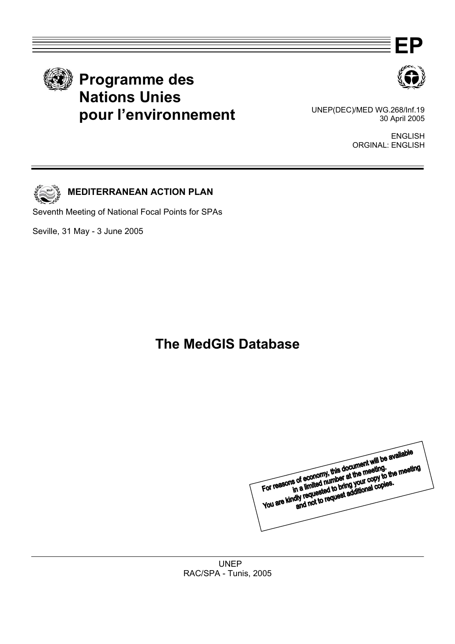





 UNEP(DEC)/MED WG.268/Inf.19 30 April 2005 **pour l'environnement**

> ENGLISH ORGINAL: ENGLISH



## **MEDITERRANEAN ACTION PLAN**

Seventh Meeting of National Focal Points for SPAs

Seville, 31 May - 3 June 2005

# **The MedGIS Database**

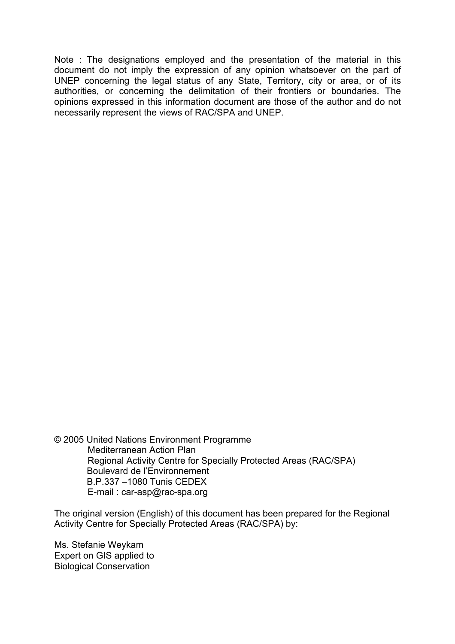Note : The designations employed and the presentation of the material in this document do not imply the expression of any opinion whatsoever on the part of UNEP concerning the legal status of any State, Territory, city or area, or of its authorities, or concerning the delimitation of their frontiers or boundaries. The opinions expressed in this information document are those of the author and do not necessarily represent the views of RAC/SPA and UNEP.

© 2005 United Nations Environment Programme Mediterranean Action Plan Regional Activity Centre for Specially Protected Areas (RAC/SPA) Boulevard de l'Environnement B.P.337 –1080 Tunis CEDEX E-mail : car-asp@rac-spa.org

The original version (English) of this document has been prepared for the Regional Activity Centre for Specially Protected Areas (RAC/SPA) by:

Ms. Stefanie Weykam Expert on GIS applied to Biological Conservation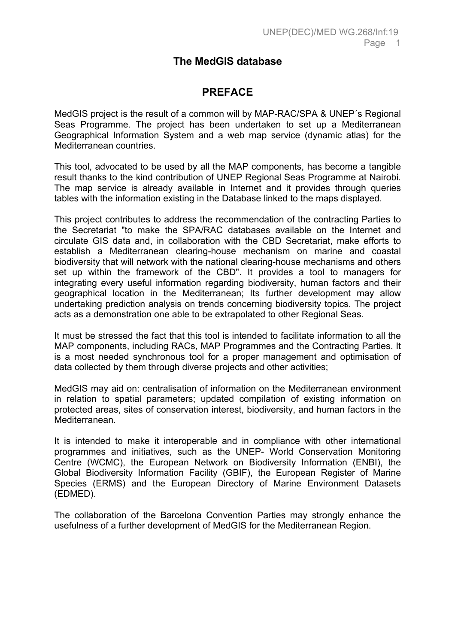## **The MedGIS database**

## **PREFACE**

MedGIS project is the result of a common will by MAP-RAC/SPA & UNEP´s Regional Seas Programme. The project has been undertaken to set up a Mediterranean Geographical Information System and a web map service (dynamic atlas) for the Mediterranean countries.

This tool, advocated to be used by all the MAP components, has become a tangible result thanks to the kind contribution of UNEP Regional Seas Programme at Nairobi. The map service is already available in Internet and it provides through queries tables with the information existing in the Database linked to the maps displayed.

This project contributes to address the recommendation of the contracting Parties to the Secretariat "to make the SPA/RAC databases available on the Internet and circulate GIS data and, in collaboration with the CBD Secretariat, make efforts to establish a Mediterranean clearing-house mechanism on marine and coastal biodiversity that will network with the national clearing-house mechanisms and others set up within the framework of the CBD". It provides a tool to managers for integrating every useful information regarding biodiversity, human factors and their geographical location in the Mediterranean; Its further development may allow undertaking prediction analysis on trends concerning biodiversity topics. The project acts as a demonstration one able to be extrapolated to other Regional Seas.

It must be stressed the fact that this tool is intended to facilitate information to all the MAP components, including RACs, MAP Programmes and the Contracting Parties. It is a most needed synchronous tool for a proper management and optimisation of data collected by them through diverse projects and other activities;

MedGIS may aid on: centralisation of information on the Mediterranean environment in relation to spatial parameters; updated compilation of existing information on protected areas, sites of conservation interest, biodiversity, and human factors in the Mediterranean.

It is intended to make it interoperable and in compliance with other international programmes and initiatives, such as the UNEP- World Conservation Monitoring Centre (WCMC), the European Network on Biodiversity Information (ENBI), the Global Biodiversity Information Facility (GBIF), the European Register of Marine Species (ERMS) and the European Directory of Marine Environment Datasets (EDMED).

The collaboration of the Barcelona Convention Parties may strongly enhance the usefulness of a further development of MedGIS for the Mediterranean Region.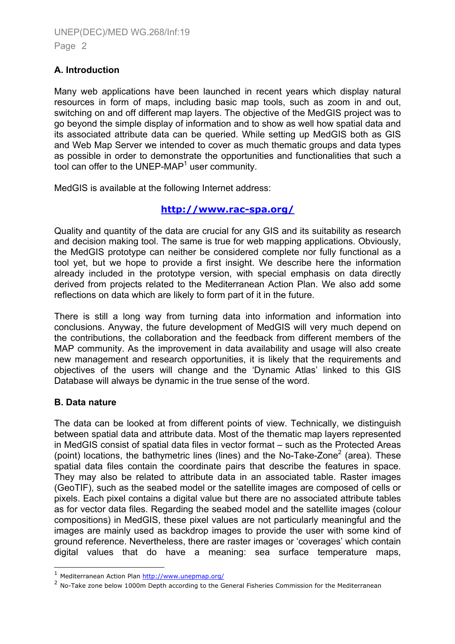## **A. Introduction**

Many web applications have been launched in recent years which display natural resources in form of maps, including basic map tools, such as zoom in and out, switching on and off different map layers. The objective of the MedGIS project was to go beyond the simple display of information and to show as well how spatial data and its associated attribute data can be queried. While setting up MedGIS both as GIS and Web Map Server we intended to cover as much thematic groups and data types as possible in order to demonstrate the opportunities and functionalities that such a tool can offer to the UNEP-MAP<sup>[1](#page-3-0)</sup> user community.

MedGIS is available at the following Internet address:

## **<http://www.rac-spa.org/>**

Quality and quantity of the data are crucial for any GIS and its suitability as research and decision making tool. The same is true for web mapping applications. Obviously, the MedGIS prototype can neither be considered complete nor fully functional as a tool yet, but we hope to provide a first insight. We describe here the information already included in the prototype version, with special emphasis on data directly derived from projects related to the Mediterranean Action Plan. We also add some reflections on data which are likely to form part of it in the future.

There is still a long way from turning data into information and information into conclusions. Anyway, the future development of MedGIS will very much depend on the contributions, the collaboration and the feedback from different members of the MAP community. As the improvement in data availability and usage will also create new management and research opportunities, it is likely that the requirements and objectives of the users will change and the 'Dynamic Atlas' linked to this GIS Database will always be dynamic in the true sense of the word.

## **B. Data nature**

ł

The data can be looked at from different points of view. Technically, we distinguish between spatial data and attribute data. Most of the thematic map layers represented in MedGIS consist of spatial data files in vector format – such as the Protected Areas (point) locations, the bathymetric lines (lines) and the No-Take-Zone<sup>[2](#page-3-1)</sup> (area). These spatial data files contain the coordinate pairs that describe the features in space. They may also be related to attribute data in an associated table. Raster images (GeoTIF), such as the seabed model or the satellite images are composed of cells or pixels. Each pixel contains a digital value but there are no associated attribute tables as for vector data files. Regarding the seabed model and the satellite images (colour compositions) in MedGIS, these pixel values are not particularly meaningful and the images are mainly used as backdrop images to provide the user with some kind of ground reference. Nevertheless, there are raster images or 'coverages' which contain digital values that do have a meaning: sea surface temperature maps,

<span id="page-3-1"></span><span id="page-3-0"></span>

<sup>&</sup>lt;sup>1</sup> Mediterranean Action Plan http://www.unepmap.org/<br><sup>2</sup> No-Take zone below 1000m Depth according to the General Fisheries Commission for the Mediterranean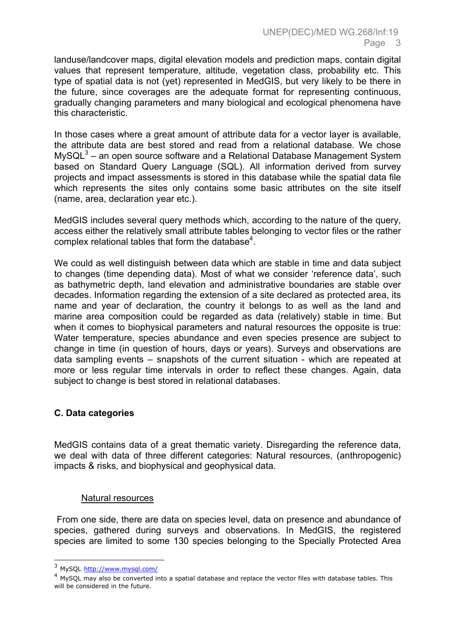landuse/landcover maps, digital elevation models and prediction maps, contain digital values that represent temperature, altitude, vegetation class, probability etc. This type of spatial data is not (yet) represented in MedGIS, but very likely to be there in the future, since coverages are the adequate format for representing continuous, gradually changing parameters and many biological and ecological phenomena have this characteristic.

In those cases where a great amount of attribute data for a vector layer is available, the attribute data are best stored and read from a relational database. We chose MySQL $3$  – an open source software and a Relational Database Management System based on Standard Query Language (SQL). All information derived from survey projects and impact assessments is stored in this database while the spatial data file which represents the sites only contains some basic attributes on the site itself (name, area, declaration year etc.).

MedGIS includes several query methods which, according to the nature of the query, access either the relatively small attribute tables belonging to vector files or the rather complex relational tables that form the database $4$ .

We could as well distinguish between data which are stable in time and data subject to changes (time depending data). Most of what we consider 'reference data', such as bathymetric depth, land elevation and administrative boundaries are stable over decades. Information regarding the extension of a site declared as protected area, its name and year of declaration, the country it belongs to as well as the land and marine area composition could be regarded as data (relatively) stable in time. But when it comes to biophysical parameters and natural resources the opposite is true: Water temperature, species abundance and even species presence are subject to change in time (in question of hours, days or years). Surveys and observations are data sampling events – snapshots of the current situation - which are repeated at more or less regular time intervals in order to reflect these changes. Again, data subject to change is best stored in relational databases.

## **C. Data categories**

MedGIS contains data of a great thematic variety. Disregarding the reference data, we deal with data of three different categories: Natural resources, (anthropogenic) impacts & risks, and biophysical and geophysical data.

## Natural resources

 From one side, there are data on species level, data on presence and abundance of species, gathered during surveys and observations. In MedGIS, the registered species are limited to some 130 species belonging to the Specially Protected Area

<span id="page-4-0"></span><sup>&</sup>lt;sup>3</sup> MySQL http://www.mysql.com/

<span id="page-4-1"></span> $<sup>4</sup>$  MySOL may also be converted into a spatial database and replace the vector files with database tables. This</sup> will be considered in the future.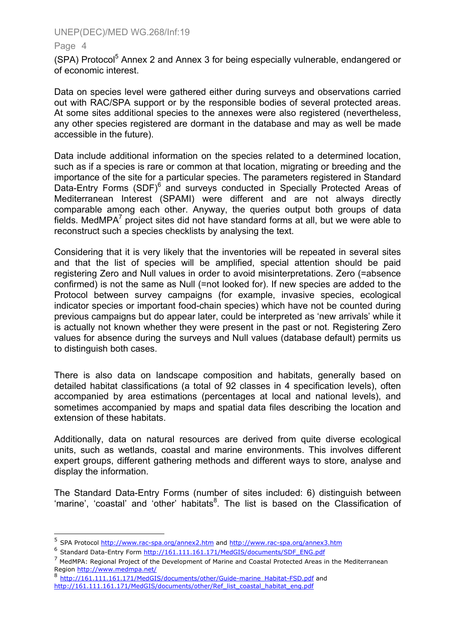#### Page 4

j

(SPA) Protocol<sup>[5](#page-5-0)</sup> Annex 2 and Annex 3 for being especially vulnerable, endangered or of economic interest.

Data on species level were gathered either during surveys and observations carried out with RAC/SPA support or by the responsible bodies of several protected areas. At some sites additional species to the annexes were also registered (nevertheless, any other species registered are dormant in the database and may as well be made accessible in the future).

Data include additional information on the species related to a determined location, such as if a species is rare or common at that location, migrating or breeding and the importance of the site for a particular species. The parameters registered in Standard Data-Entry Forms (SDF)<sup>[6](#page-5-1)</sup> and surveys conducted in Specially Protected Areas of Mediterranean Interest (SPAMI) were different and are not always directly comparable among each other. Anyway, the queries output both groups of data fields. MedMPA $<sup>7</sup>$  $<sup>7</sup>$  $<sup>7</sup>$  project sites did not have standard forms at all, but we were able to</sup> reconstruct such a species checklists by analysing the text.

Considering that it is very likely that the inventories will be repeated in several sites and that the list of species will be amplified, special attention should be paid registering Zero and Null values in order to avoid misinterpretations. Zero (=absence confirmed) is not the same as Null (=not looked for). If new species are added to the Protocol between survey campaigns (for example, invasive species, ecological indicator species or important food-chain species) which have not be counted during previous campaigns but do appear later, could be interpreted as 'new arrivals' while it is actually not known whether they were present in the past or not. Registering Zero values for absence during the surveys and Null values (database default) permits us to distinguish both cases.

There is also data on landscape composition and habitats, generally based on detailed habitat classifications (a total of 92 classes in 4 specification levels), often accompanied by area estimations (percentages at local and national levels), and sometimes accompanied by maps and spatial data files describing the location and extension of these habitats.

Additionally, data on natural resources are derived from quite diverse ecological units, such as wetlands, coastal and marine environments. This involves different expert groups, different gathering methods and different ways to store, analyse and display the information.

The Standard Data-Entry Forms (number of sites included: 6) distinguish between 'marine', 'coastal' and 'other' habitats<sup>[8](#page-5-3)</sup>. The list is based on the Classification of

<span id="page-5-0"></span><sup>&</sup>lt;sup>5</sup> SPA Protocol<http://www.rac-spa.org/annex2.htm>and<http://www.rac-spa.org/annex3.htm> 6 Standard Data-Entry Form [http://161.111.161.171/MedGIS/documents/SDF\\_ENG.pdf](http://80.25.140.79/MedGIS/documents/SDF_ENG.pdf)

<span id="page-5-1"></span>

<span id="page-5-2"></span><sup>&</sup>lt;sup>7</sup> MedMPA: Regional Project of the Development of Marine and Coastal Protected Areas in the Mediterranean Region http://www.medmpa.net/<br><sup>8</sup> [http://161.111.161.171/MedGIS/documents/other/Guide-marine\\_Habitat-FSD.pdf](http://80.25.140.79/MedGIS/documents/other/Guide-marine_Habitat-FSD.pdf) and

<span id="page-5-3"></span>[http://161.111.161.171/MedGIS/documents/other/Ref\\_list\\_coastal\\_habitat\\_eng.pdf](http://80.25.140.79/MedGIS/documents/other/Ref_list_coastal_habitat_eng.pdf)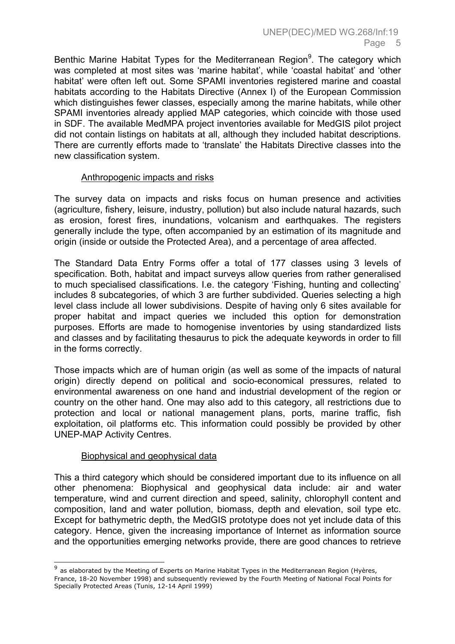Benthic Marine Habitat Types for the Mediterranean Region<sup>[9](#page-6-0)</sup>. The category which was completed at most sites was 'marine habitat', while 'coastal habitat' and 'other habitat' were often left out. Some SPAMI inventories registered marine and coastal habitats according to the Habitats Directive (Annex I) of the European Commission which distinguishes fewer classes, especially among the marine habitats, while other SPAMI inventories already applied MAP categories, which coincide with those used in SDF. The available MedMPA project inventories available for MedGIS pilot project did not contain listings on habitats at all, although they included habitat descriptions. There are currently efforts made to 'translate' the Habitats Directive classes into the new classification system.

## Anthropogenic impacts and risks

The survey data on impacts and risks focus on human presence and activities (agriculture, fishery, leisure, industry, pollution) but also include natural hazards, such as erosion, forest fires, inundations, volcanism and earthquakes. The registers generally include the type, often accompanied by an estimation of its magnitude and origin (inside or outside the Protected Area), and a percentage of area affected.

The Standard Data Entry Forms offer a total of 177 classes using 3 levels of specification. Both, habitat and impact surveys allow queries from rather generalised to much specialised classifications. I.e. the category 'Fishing, hunting and collecting' includes 8 subcategories, of which 3 are further subdivided. Queries selecting a high level class include all lower subdivisions. Despite of having only 6 sites available for proper habitat and impact queries we included this option for demonstration purposes. Efforts are made to homogenise inventories by using standardized lists and classes and by facilitating thesaurus to pick the adequate keywords in order to fill in the forms correctly.

Those impacts which are of human origin (as well as some of the impacts of natural origin) directly depend on political and socio-economical pressures, related to environmental awareness on one hand and industrial development of the region or country on the other hand. One may also add to this category, all restrictions due to protection and local or national management plans, ports, marine traffic, fish exploitation, oil platforms etc. This information could possibly be provided by other UNEP-MAP Activity Centres.

## Biophysical and geophysical data

ł

This a third category which should be considered important due to its influence on all other phenomena: Biophysical and geophysical data include: air and water temperature, wind and current direction and speed, salinity, chlorophyll content and composition, land and water pollution, biomass, depth and elevation, soil type etc. Except for bathymetric depth, the MedGIS prototype does not yet include data of this category. Hence, given the increasing importance of Internet as information source and the opportunities emerging networks provide, there are good chances to retrieve

<span id="page-6-0"></span> $9$  as elaborated by the Meeting of Experts on Marine Habitat Types in the Mediterranean Region (Hyères, France, 18-20 November 1998) and subsequently reviewed by the Fourth Meeting of National Focal Points for Specially Protected Areas (Tunis, 12-14 April 1999)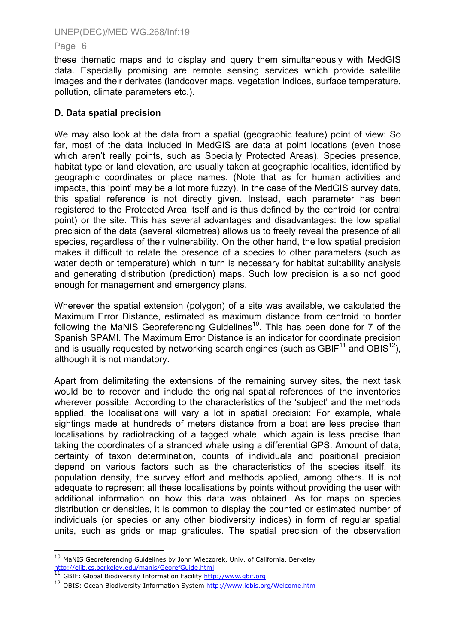#### Page 6

these thematic maps and to display and query them simultaneously with MedGIS data. Especially promising are remote sensing services which provide satellite images and their derivates (landcover maps, vegetation indices, surface temperature, pollution, climate parameters etc.).

## **D. Data spatial precision**

We may also look at the data from a spatial (geographic feature) point of view: So far, most of the data included in MedGIS are data at point locations (even those which aren't really points, such as Specially Protected Areas). Species presence, habitat type or land elevation, are usually taken at geographic localities, identified by geographic coordinates or place names. (Note that as for human activities and impacts, this 'point' may be a lot more fuzzy). In the case of the MedGIS survey data, this spatial reference is not directly given. Instead, each parameter has been registered to the Protected Area itself and is thus defined by the centroid (or central point) or the site. This has several advantages and disadvantages: the low spatial precision of the data (several kilometres) allows us to freely reveal the presence of all species, regardless of their vulnerability. On the other hand, the low spatial precision makes it difficult to relate the presence of a species to other parameters (such as water depth or temperature) which in turn is necessary for habitat suitability analysis and generating distribution (prediction) maps. Such low precision is also not good enough for management and emergency plans.

Wherever the spatial extension (polygon) of a site was available, we calculated the Maximum Error Distance, estimated as maximum distance from centroid to border following the MaNIS Georeferencing Guidelines<sup>10</sup>. This has been done for  $7$  of the Spanish SPAMI. The Maximum Error Distance is an indicator for coordinate precision and is usually requested by networking search engines (such as GBIF<sup>11</sup> and OBIS<sup>12</sup>), although it is not mandatory.

Apart from delimitating the extensions of the remaining survey sites, the next task would be to recover and include the original spatial references of the inventories wherever possible. According to the characteristics of the 'subject' and the methods applied, the localisations will vary a lot in spatial precision: For example, whale sightings made at hundreds of meters distance from a boat are less precise than localisations by radiotracking of a tagged whale, which again is less precise than taking the coordinates of a stranded whale using a differential GPS. Amount of data, certainty of taxon determination, counts of individuals and positional precision depend on various factors such as the characteristics of the species itself, its population density, the survey effort and methods applied, among others. It is not adequate to represent all these localisations by points without providing the user with additional information on how this data was obtained. As for maps on species distribution or densities, it is common to display the counted or estimated number of individuals (or species or any other biodiversity indices) in form of regular spatial units, such as grids or map graticules. The spatial precision of the observation

ł

<span id="page-7-0"></span> $10$  MaNIS Georeferencing Guidelines by John Wieczorek, Univ. of California, Berkeley http://elib.cs.berkeley.edu/manis/GeorefGuide.html<br><sup>11</sup> GBIF: Global Biodiversity Information Facility [http://www.gbif.org](http://www.gbif.org/)<br><sup>12</sup> OBIS: Ocean Biodiversity Information System http://www.iobis.org/Welcome.htm

<span id="page-7-1"></span>

<span id="page-7-2"></span>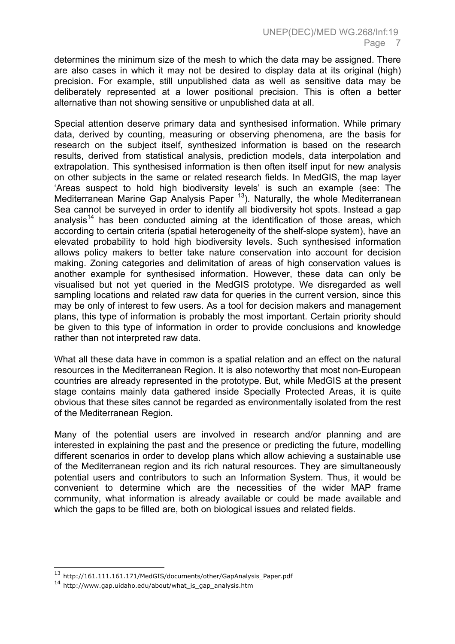determines the minimum size of the mesh to which the data may be assigned. There are also cases in which it may not be desired to display data at its original (high) precision. For example, still unpublished data as well as sensitive data may be deliberately represented at a lower positional precision. This is often a better alternative than not showing sensitive or unpublished data at all.

Special attention deserve primary data and synthesised information. While primary data, derived by counting, measuring or observing phenomena, are the basis for research on the subject itself, synthesized information is based on the research results, derived from statistical analysis, prediction models, data interpolation and extrapolation. This synthesised information is then often itself input for new analysis on other subjects in the same or related research fields. In MedGIS, the map layer 'Areas suspect to hold high biodiversity levels' is such an example (see: The Mediterranean Marine Gap Analysis Paper  $13$ ). Naturally, the whole Mediterranean Sea cannot be surveyed in order to identify all biodiversity hot spots. Instead a gap analysis<sup>14</sup> has been conducted aiming at the identification of those areas, which according to certain criteria (spatial heterogeneity of the shelf-slope system), have an elevated probability to hold high biodiversity levels. Such synthesised information allows policy makers to better take nature conservation into account for decision making. Zoning categories and delimitation of areas of high conservation values is another example for synthesised information. However, these data can only be visualised but not yet queried in the MedGIS prototype. We disregarded as well sampling locations and related raw data for queries in the current version, since this may be only of interest to few users. As a tool for decision makers and management plans, this type of information is probably the most important. Certain priority should be given to this type of information in order to provide conclusions and knowledge rather than not interpreted raw data.

What all these data have in common is a spatial relation and an effect on the natural resources in the Mediterranean Region. It is also noteworthy that most non-European countries are already represented in the prototype. But, while MedGIS at the present stage contains mainly data gathered inside Specially Protected Areas, it is quite obvious that these sites cannot be regarded as environmentally isolated from the rest of the Mediterranean Region.

Many of the potential users are involved in research and/or planning and are interested in explaining the past and the presence or predicting the future, modelling different scenarios in order to develop plans which allow achieving a sustainable use of the Mediterranean region and its rich natural resources. They are simultaneously potential users and contributors to such an Information System. Thus, it would be convenient to determine which are the necessities of the wider MAP frame community, what information is already available or could be made available and which the gaps to be filled are, both on biological issues and related fields.

ł

<span id="page-8-0"></span><sup>&</sup>lt;sup>13</sup> http://161.111.161.171/MedGIS/documents/other/GapAnalysis\_Paper.pdf

<span id="page-8-1"></span><sup>14</sup> http://www.gap.uidaho.edu/about/what\_is\_gap\_analysis.htm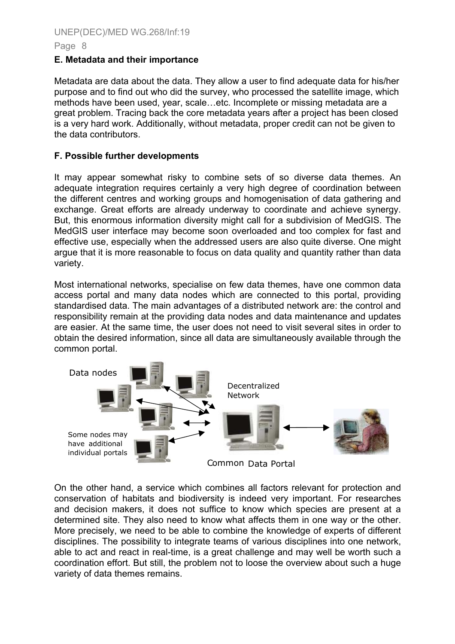#### Page 8

#### **E. Metadata and their importance**

Metadata are data about the data. They allow a user to find adequate data for his/her purpose and to find out who did the survey, who processed the satellite image, which methods have been used, year, scale…etc. Incomplete or missing metadata are a great problem. Tracing back the core metadata years after a project has been closed is a very hard work. Additionally, without metadata, proper credit can not be given to the data contributors.

## **F. Possible further developments**

It may appear somewhat risky to combine sets of so diverse data themes. An adequate integration requires certainly a very high degree of coordination between the different centres and working groups and homogenisation of data gathering and exchange. Great efforts are already underway to coordinate and achieve synergy. But, this enormous information diversity might call for a subdivision of MedGIS. The MedGIS user interface may become soon overloaded and too complex for fast and effective use, especially when the addressed users are also quite diverse. One might argue that it is more reasonable to focus on data quality and quantity rather than data variety.

Most international networks, specialise on few data themes, have one common data access portal and many data nodes which are connected to this portal, providing standardised data. The main advantages of a distributed network are: the control and responsibility remain at the providing data nodes and data maintenance and updates are easier. At the same time, the user does not need to visit several sites in order to obtain the desired information, since all data are simultaneously available through the common portal.



On the other hand, a service which combines all factors relevant for protection and conservation of habitats and biodiversity is indeed very important. For researches and decision makers, it does not suffice to know which species are present at a determined site. They also need to know what affects them in one way or the other. More precisely, we need to be able to combine the knowledge of experts of different disciplines. The possibility to integrate teams of various disciplines into one network, able to act and react in real-time, is a great challenge and may well be worth such a coordination effort. But still, the problem not to loose the overview about such a huge variety of data themes remains.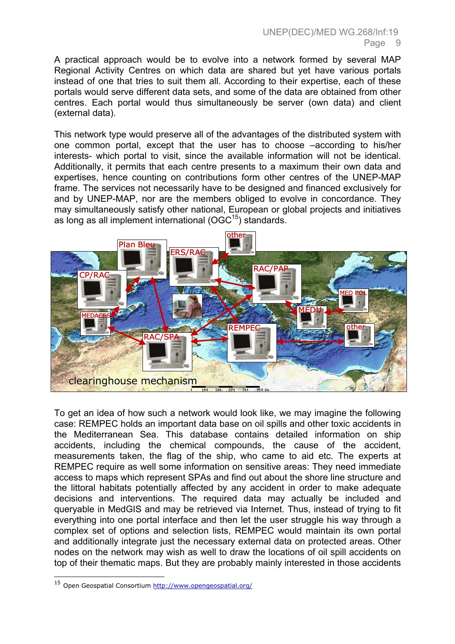A practical approach would be to evolve into a network formed by several MAP Regional Activity Centres on which data are shared but yet have various portals instead of one that tries to suit them all. According to their expertise, each of these portals would serve different data sets, and some of the data are obtained from other centres. Each portal would thus simultaneously be server (own data) and client (external data).

This network type would preserve all of the advantages of the distributed system with one common portal, except that the user has to choose –according to his/her interests- which portal to visit, since the available information will not be identical. Additionally, it permits that each centre presents to a maximum their own data and expertises, hence counting on contributions form other centres of the UNEP-MAP frame. The services not necessarily have to be designed and financed exclusively for and by UNEP-MAP, nor are the members obliged to evolve in concordance. They may simultaneously satisfy other national, European or global projects and initiatives as long as all implement international  $(OGC^{15})$  standards.



To get an idea of how such a network would look like, we may imagine the following case: REMPEC holds an important data base on oil spills and other toxic accidents in the Mediterranean Sea. This database contains detailed information on ship accidents, including the chemical compounds, the cause of the accident, measurements taken, the flag of the ship, who came to aid etc. The experts at REMPEC require as well some information on sensitive areas: They need immediate access to maps which represent SPAs and find out about the shore line structure and the littoral habitats potentially affected by any accident in order to make adequate decisions and interventions. The required data may actually be included and queryable in MedGIS and may be retrieved via Internet. Thus, instead of trying to fit everything into one portal interface and then let the user struggle his way through a complex set of options and selection lists, REMPEC would maintain its own portal and additionally integrate just the necessary external data on protected areas. Other nodes on the network may wish as well to draw the locations of oil spill accidents on top of their thematic maps. But they are probably mainly interested in those accidents

<span id="page-10-0"></span> <sup>15</sup> Open Geospatial Consortium<http://www.opengeospatial.org/>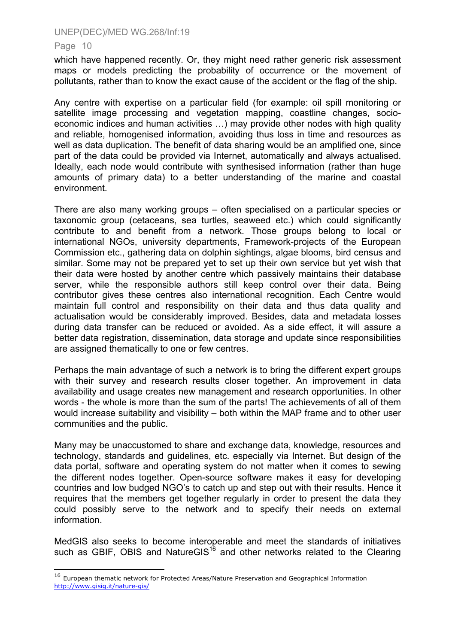#### Page 10

ł

which have happened recently. Or, they might need rather generic risk assessment maps or models predicting the probability of occurrence or the movement of pollutants, rather than to know the exact cause of the accident or the flag of the ship.

Any centre with expertise on a particular field (for example: oil spill monitoring or satellite image processing and vegetation mapping, coastline changes, socioeconomic indices and human activities …) may provide other nodes with high quality and reliable, homogenised information, avoiding thus loss in time and resources as well as data duplication. The benefit of data sharing would be an amplified one, since part of the data could be provided via Internet, automatically and always actualised. Ideally, each node would contribute with synthesised information (rather than huge amounts of primary data) to a better understanding of the marine and coastal environment.

There are also many working groups – often specialised on a particular species or taxonomic group (cetaceans, sea turtles, seaweed etc.) which could significantly contribute to and benefit from a network. Those groups belong to local or international NGOs, university departments, Framework-projects of the European Commission etc., gathering data on dolphin sightings, algae blooms, bird census and similar. Some may not be prepared yet to set up their own service but yet wish that their data were hosted by another centre which passively maintains their database server, while the responsible authors still keep control over their data. Being contributor gives these centres also international recognition. Each Centre would maintain full control and responsibility on their data and thus data quality and actualisation would be considerably improved. Besides, data and metadata losses during data transfer can be reduced or avoided. As a side effect, it will assure a better data registration, dissemination, data storage and update since responsibilities are assigned thematically to one or few centres.

Perhaps the main advantage of such a network is to bring the different expert groups with their survey and research results closer together. An improvement in data availability and usage creates new management and research opportunities. In other words - the whole is more than the sum of the parts! The achievements of all of them would increase suitability and visibility – both within the MAP frame and to other user communities and the public.

Many may be unaccustomed to share and exchange data, knowledge, resources and technology, standards and guidelines, etc. especially via Internet. But design of the data portal, software and operating system do not matter when it comes to sewing the different nodes together. Open-source software makes it easy for developing countries and low budged NGO's to catch up and step out with their results. Hence it requires that the members get together regularly in order to present the data they could possibly serve to the network and to specify their needs on external information.

MedGIS also seeks to become interoperable and meet the standards of initiatives such as GBIF, OBIS and NatureGIS $16$  and other networks related to the Clearing

<span id="page-11-0"></span><sup>16</sup> European thematic network for Protected Areas/Nature Preservation and Geographical Information <http://www.gisig.it/nature-gis/>